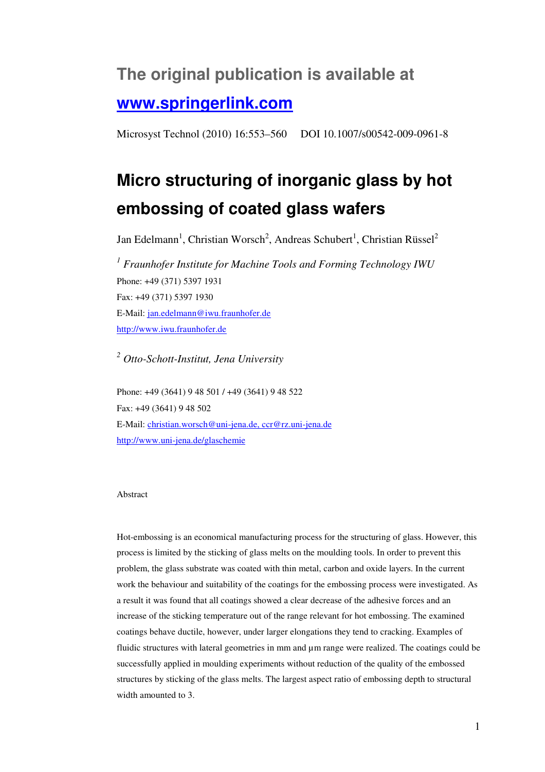## **The original publication is available at www.springerlink.com**

Microsyst Technol (2010) 16:553–560 DOI 10.1007/s00542-009-0961-8

# **Micro structuring of inorganic glass by hot embossing of coated glass wafers**

Jan Edelmann<sup>1</sup>, Christian Worsch<sup>2</sup>, Andreas Schubert<sup>1</sup>, Christian Rüssel<sup>2</sup>

<sup>1</sup> Fraunhofer Institute for Machine Tools and Forming Technology IWU Phone: +49 (371) 5397 1931 Fax: +49 (371) 5397 1930 E-Mail: jan.edelmann@iwu.fraunhofer.de http://www.iwu.fraunhofer.de

*2 Otto-Schott-Institut, Jena University* 

Phone: +49 (3641) 9 48 501 / +49 (3641) 9 48 522 Fax: +49 (3641) 9 48 502 E-Mail: christian.worsch@uni-jena.de, ccr@rz.uni-jena.de http://www.uni-jena.de/glaschemie

#### Abstract

Hot-embossing is an economical manufacturing process for the structuring of glass. However, this process is limited by the sticking of glass melts on the moulding tools. In order to prevent this problem, the glass substrate was coated with thin metal, carbon and oxide layers. In the current work the behaviour and suitability of the coatings for the embossing process were investigated. As a result it was found that all coatings showed a clear decrease of the adhesive forces and an increase of the sticking temperature out of the range relevant for hot embossing. The examined coatings behave ductile, however, under larger elongations they tend to cracking. Examples of fluidic structures with lateral geometries in mm and µm range were realized. The coatings could be successfully applied in moulding experiments without reduction of the quality of the embossed structures by sticking of the glass melts. The largest aspect ratio of embossing depth to structural width amounted to 3.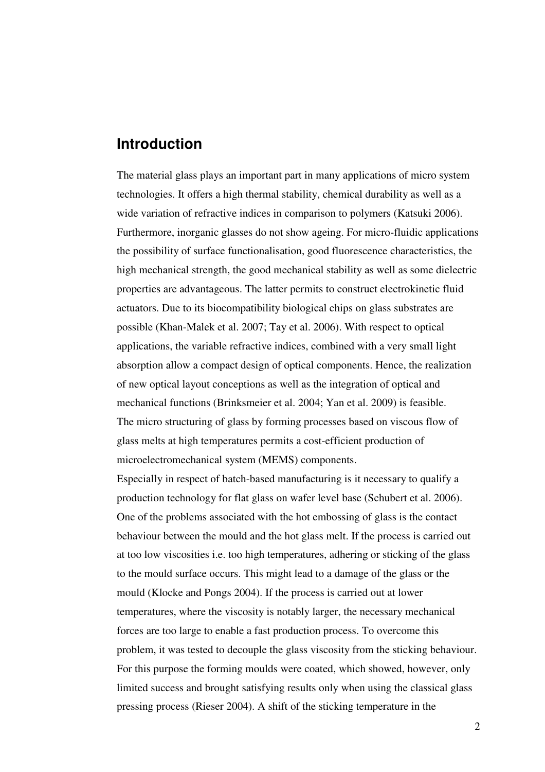## **Introduction**

The material glass plays an important part in many applications of micro system technologies. It offers a high thermal stability, chemical durability as well as a wide variation of refractive indices in comparison to polymers (Katsuki 2006). Furthermore, inorganic glasses do not show ageing. For micro-fluidic applications the possibility of surface functionalisation, good fluorescence characteristics, the high mechanical strength, the good mechanical stability as well as some dielectric properties are advantageous. The latter permits to construct electrokinetic fluid actuators. Due to its biocompatibility biological chips on glass substrates are possible (Khan-Malek et al. 2007; Tay et al. 2006). With respect to optical applications, the variable refractive indices, combined with a very small light absorption allow a compact design of optical components. Hence, the realization of new optical layout conceptions as well as the integration of optical and mechanical functions (Brinksmeier et al. 2004; Yan et al. 2009) is feasible. The micro structuring of glass by forming processes based on viscous flow of glass melts at high temperatures permits a cost-efficient production of microelectromechanical system (MEMS) components.

Especially in respect of batch-based manufacturing is it necessary to qualify a production technology for flat glass on wafer level base (Schubert et al. 2006). One of the problems associated with the hot embossing of glass is the contact behaviour between the mould and the hot glass melt. If the process is carried out at too low viscosities i.e. too high temperatures, adhering or sticking of the glass to the mould surface occurs. This might lead to a damage of the glass or the mould (Klocke and Pongs 2004). If the process is carried out at lower temperatures, where the viscosity is notably larger, the necessary mechanical forces are too large to enable a fast production process. To overcome this problem, it was tested to decouple the glass viscosity from the sticking behaviour. For this purpose the forming moulds were coated, which showed, however, only limited success and brought satisfying results only when using the classical glass pressing process (Rieser 2004). A shift of the sticking temperature in the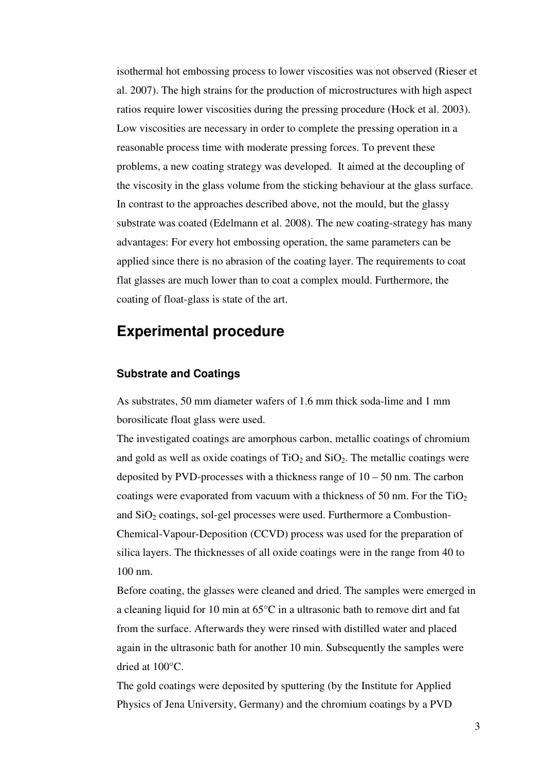isothermal hot embossing process to lower viscosities was not observed (Rieser et al. 2007). The high strains for the production of microstructures with high aspect ratios require lower viscosities during the pressing procedure (Hock et al. 2003). Low viscosities are necessary in order to complete the pressing operation in a reasonable process time with moderate pressing forces. To prevent these problems, a new coating strategy was developed. It aimed at the decoupling of the viscosity in the glass volume from the sticking behaviour at the glass surface. In contrast to the approaches described above, not the mould, but the glassy substrate was coated (Edelmann et al. 2008). The new coating-strategy has many advantages: For every hot embossing operation, the same parameters can be applied since there is no abrasion of the coating layer. The requirements to coat flat glasses are much lower than to coat a complex mould. Furthermore, the coating of float-glass is state of the art.

## **Experimental procedure**

#### **Substrate and Coatings**

As substrates, 50 mm diameter wafers of 1.6 mm thick soda-lime and 1 mm borosilicate float glass were used.

The investigated coatings are amorphous carbon, metallic coatings of chromium and gold as well as oxide coatings of  $TiO<sub>2</sub>$  and  $SiO<sub>2</sub>$ . The metallic coatings were deposited by PVD-processes with a thickness range of  $10 - 50$  nm. The carbon coatings were evaporated from vacuum with a thickness of 50 nm. For the  $TiO<sub>2</sub>$ and  $SiO<sub>2</sub>$  coatings, sol-gel processes were used. Furthermore a Combustion-Chemical-Vapour-Deposition (CCVD) process was used for the preparation of silica layers. The thicknesses of all oxide coatings were in the range from 40 to 100 nm.

Before coating, the glasses were cleaned and dried. The samples were emerged in a cleaning liquid for 10 min at 65°C in a ultrasonic bath to remove dirt and fat from the surface. Afterwards they were rinsed with distilled water and placed again in the ultrasonic bath for another 10 min. Subsequently the samples were dried at 100°C.

The gold coatings were deposited by sputtering (by the Institute for Applied Physics of Jena University, Germany) and the chromium coatings by a PVD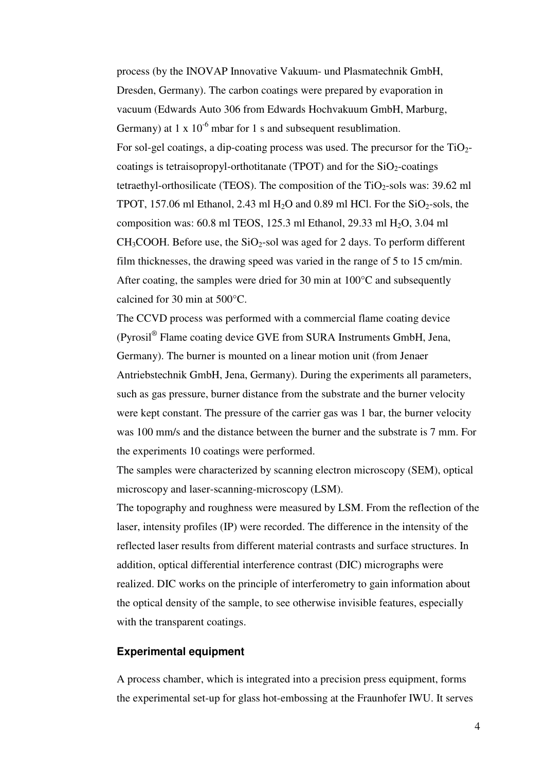process (by the INOVAP Innovative Vakuum- und Plasmatechnik GmbH, Dresden, Germany). The carbon coatings were prepared by evaporation in vacuum (Edwards Auto 306 from Edwards Hochvakuum GmbH, Marburg, Germany) at 1 x  $10^{-6}$  mbar for 1 s and subsequent resublimation. For sol-gel coatings, a dip-coating process was used. The precursor for the  $TiO<sub>2</sub>$ coatings is tetraisopropyl-orthotitanate (TPOT) and for the  $SiO<sub>2</sub>$ -coatings tetraethyl-orthosilicate (TEOS). The composition of the  $TiO<sub>2</sub>$ -sols was: 39.62 ml TPOT, 157.06 ml Ethanol, 2.43 ml  $H<sub>2</sub>O$  and 0.89 ml HCl. For the SiO<sub>2</sub>-sols, the composition was: 60.8 ml TEOS, 125.3 ml Ethanol, 29.33 ml H2O, 3.04 ml  $CH<sub>3</sub>COOH$ . Before use, the SiO<sub>2</sub>-sol was aged for 2 days. To perform different film thicknesses, the drawing speed was varied in the range of 5 to 15 cm/min. After coating, the samples were dried for 30 min at 100°C and subsequently calcined for 30 min at 500°C.

The CCVD process was performed with a commercial flame coating device (Pyrosil® Flame coating device GVE from SURA Instruments GmbH, Jena, Germany). The burner is mounted on a linear motion unit (from Jenaer Antriebstechnik GmbH, Jena, Germany). During the experiments all parameters, such as gas pressure, burner distance from the substrate and the burner velocity were kept constant. The pressure of the carrier gas was 1 bar, the burner velocity was 100 mm/s and the distance between the burner and the substrate is 7 mm. For the experiments 10 coatings were performed.

The samples were characterized by scanning electron microscopy (SEM), optical microscopy and laser-scanning-microscopy (LSM).

The topography and roughness were measured by LSM. From the reflection of the laser, intensity profiles (IP) were recorded. The difference in the intensity of the reflected laser results from different material contrasts and surface structures. In addition, optical differential interference contrast (DIC) micrographs were realized. DIC works on the principle of interferometry to gain information about the optical density of the sample, to see otherwise invisible features, especially with the transparent coatings.

#### **Experimental equipment**

A process chamber, which is integrated into a precision press equipment, forms the experimental set-up for glass hot-embossing at the Fraunhofer IWU. It serves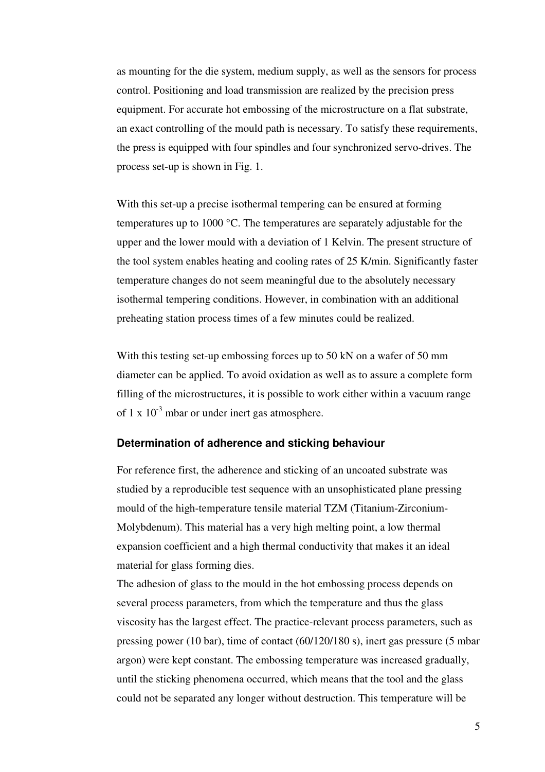as mounting for the die system, medium supply, as well as the sensors for process control. Positioning and load transmission are realized by the precision press equipment. For accurate hot embossing of the microstructure on a flat substrate, an exact controlling of the mould path is necessary. To satisfy these requirements, the press is equipped with four spindles and four synchronized servo-drives. The process set-up is shown in Fig. 1.

With this set-up a precise isothermal tempering can be ensured at forming temperatures up to 1000 °C. The temperatures are separately adjustable for the upper and the lower mould with a deviation of 1 Kelvin. The present structure of the tool system enables heating and cooling rates of 25 K/min. Significantly faster temperature changes do not seem meaningful due to the absolutely necessary isothermal tempering conditions. However, in combination with an additional preheating station process times of a few minutes could be realized.

With this testing set-up embossing forces up to 50 kN on a wafer of 50 mm diameter can be applied. To avoid oxidation as well as to assure a complete form filling of the microstructures, it is possible to work either within a vacuum range of 1 x  $10^{-3}$  mbar or under inert gas atmosphere.

#### **Determination of adherence and sticking behaviour**

For reference first, the adherence and sticking of an uncoated substrate was studied by a reproducible test sequence with an unsophisticated plane pressing mould of the high-temperature tensile material TZM (Titanium-Zirconium-Molybdenum). This material has a very high melting point, a low thermal expansion coefficient and a high thermal conductivity that makes it an ideal material for glass forming dies.

The adhesion of glass to the mould in the hot embossing process depends on several process parameters, from which the temperature and thus the glass viscosity has the largest effect. The practice-relevant process parameters, such as pressing power (10 bar), time of contact (60/120/180 s), inert gas pressure (5 mbar argon) were kept constant. The embossing temperature was increased gradually, until the sticking phenomena occurred, which means that the tool and the glass could not be separated any longer without destruction. This temperature will be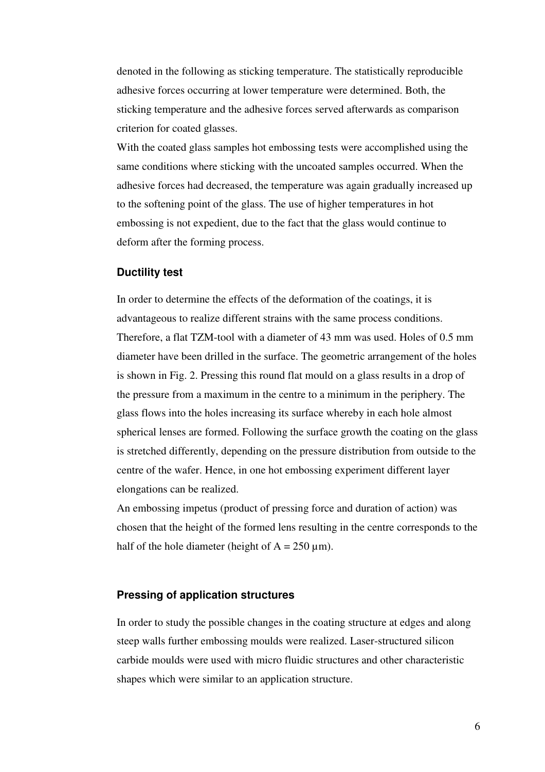denoted in the following as sticking temperature. The statistically reproducible adhesive forces occurring at lower temperature were determined. Both, the sticking temperature and the adhesive forces served afterwards as comparison criterion for coated glasses.

With the coated glass samples hot embossing tests were accomplished using the same conditions where sticking with the uncoated samples occurred. When the adhesive forces had decreased, the temperature was again gradually increased up to the softening point of the glass. The use of higher temperatures in hot embossing is not expedient, due to the fact that the glass would continue to deform after the forming process.

#### **Ductility test**

In order to determine the effects of the deformation of the coatings, it is advantageous to realize different strains with the same process conditions. Therefore, a flat TZM-tool with a diameter of 43 mm was used. Holes of 0.5 mm diameter have been drilled in the surface. The geometric arrangement of the holes is shown in Fig. 2. Pressing this round flat mould on a glass results in a drop of the pressure from a maximum in the centre to a minimum in the periphery. The glass flows into the holes increasing its surface whereby in each hole almost spherical lenses are formed. Following the surface growth the coating on the glass is stretched differently, depending on the pressure distribution from outside to the centre of the wafer. Hence, in one hot embossing experiment different layer elongations can be realized.

An embossing impetus (product of pressing force and duration of action) was chosen that the height of the formed lens resulting in the centre corresponds to the half of the hole diameter (height of  $A = 250 \text{ }\mu\text{m}$ ).

#### **Pressing of application structures**

In order to study the possible changes in the coating structure at edges and along steep walls further embossing moulds were realized. Laser-structured silicon carbide moulds were used with micro fluidic structures and other characteristic shapes which were similar to an application structure.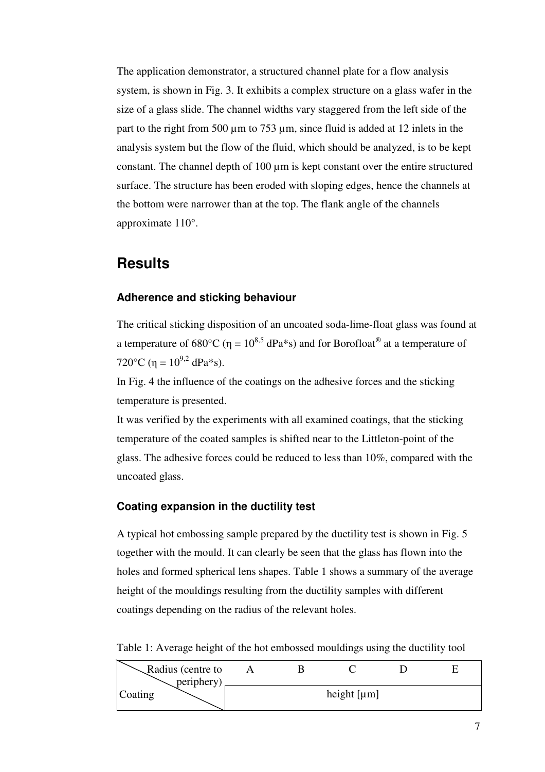The application demonstrator, a structured channel plate for a flow analysis system, is shown in Fig. 3. It exhibits a complex structure on a glass wafer in the size of a glass slide. The channel widths vary staggered from the left side of the part to the right from 500 µm to 753 µm, since fluid is added at 12 inlets in the analysis system but the flow of the fluid, which should be analyzed, is to be kept constant. The channel depth of  $100 \mu m$  is kept constant over the entire structured surface. The structure has been eroded with sloping edges, hence the channels at the bottom were narrower than at the top. The flank angle of the channels approximate 110°.

## **Results**

#### **Adherence and sticking behaviour**

The critical sticking disposition of an uncoated soda-lime-float glass was found at a temperature of 680°C ( $\eta = 10^{8.5}$  dPa\*s) and for Borofloat<sup>®</sup> at a temperature of 720 $^{\circ}$ C (η = 10<sup>9,2</sup> dPa<sup>\*</sup>s).

In Fig. 4 the influence of the coatings on the adhesive forces and the sticking temperature is presented.

It was verified by the experiments with all examined coatings, that the sticking temperature of the coated samples is shifted near to the Littleton-point of the glass. The adhesive forces could be reduced to less than 10%, compared with the uncoated glass.

#### **Coating expansion in the ductility test**

A typical hot embossing sample prepared by the ductility test is shown in Fig. 5 together with the mould. It can clearly be seen that the glass has flown into the holes and formed spherical lens shapes. Table 1 shows a summary of the average height of the mouldings resulting from the ductility samples with different coatings depending on the radius of the relevant holes.

Table 1: Average height of the hot embossed mouldings using the ductility tool

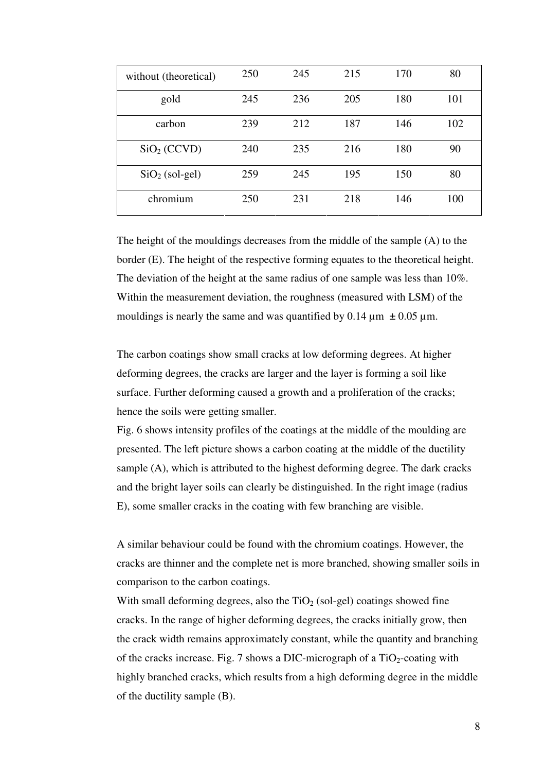| without (theoretical)   | 250 | 245 | 215 | 170 | 80  |
|-------------------------|-----|-----|-----|-----|-----|
| gold                    | 245 | 236 | 205 | 180 | 101 |
| carbon                  | 239 | 212 | 187 | 146 | 102 |
| SiO <sub>2</sub> (CCVD) | 240 | 235 | 216 | 180 | 90  |
| $SiO2$ (sol-gel)        | 259 | 245 | 195 | 150 | 80  |
| chromium                | 250 | 231 | 218 | 146 | 100 |

The height of the mouldings decreases from the middle of the sample (A) to the border (E). The height of the respective forming equates to the theoretical height. The deviation of the height at the same radius of one sample was less than 10%. Within the measurement deviation, the roughness (measured with LSM) of the mouldings is nearly the same and was quantified by 0.14  $\mu$ m  $\pm$  0.05  $\mu$ m.

The carbon coatings show small cracks at low deforming degrees. At higher deforming degrees, the cracks are larger and the layer is forming a soil like surface. Further deforming caused a growth and a proliferation of the cracks; hence the soils were getting smaller.

Fig. 6 shows intensity profiles of the coatings at the middle of the moulding are presented. The left picture shows a carbon coating at the middle of the ductility sample (A), which is attributed to the highest deforming degree. The dark cracks and the bright layer soils can clearly be distinguished. In the right image (radius E), some smaller cracks in the coating with few branching are visible.

A similar behaviour could be found with the chromium coatings. However, the cracks are thinner and the complete net is more branched, showing smaller soils in comparison to the carbon coatings.

With small deforming degrees, also the  $TiO<sub>2</sub>$  (sol-gel) coatings showed fine cracks. In the range of higher deforming degrees, the cracks initially grow, then the crack width remains approximately constant, while the quantity and branching of the cracks increase. Fig. 7 shows a DIC-micrograph of a  $TiO<sub>2</sub>$ -coating with highly branched cracks, which results from a high deforming degree in the middle of the ductility sample (B).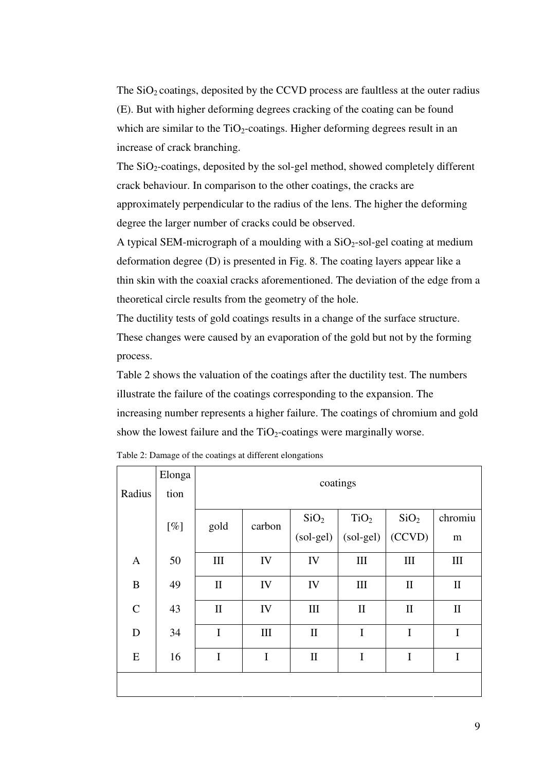The  $SiO<sub>2</sub>$  coatings, deposited by the CCVD process are faultless at the outer radius (E). But with higher deforming degrees cracking of the coating can be found which are similar to the  $TiO<sub>2</sub>$ -coatings. Higher deforming degrees result in an increase of crack branching.

The  $SiO<sub>2</sub>$ -coatings, deposited by the sol-gel method, showed completely different crack behaviour. In comparison to the other coatings, the cracks are approximately perpendicular to the radius of the lens. The higher the deforming degree the larger number of cracks could be observed.

A typical SEM-micrograph of a moulding with a  $SiO<sub>2</sub>$ -sol-gel coating at medium deformation degree (D) is presented in Fig. 8. The coating layers appear like a thin skin with the coaxial cracks aforementioned. The deviation of the edge from a theoretical circle results from the geometry of the hole.

The ductility tests of gold coatings results in a change of the surface structure. These changes were caused by an evaporation of the gold but not by the forming process.

Table 2 shows the valuation of the coatings after the ductility test. The numbers illustrate the failure of the coatings corresponding to the expansion. The increasing number represents a higher failure. The coatings of chromium and gold show the lowest failure and the  $TiO<sub>2</sub>$ -coatings were marginally worse.

| Radius       | Elonga<br>tion | coatings     |             |                  |                  |                  |              |
|--------------|----------------|--------------|-------------|------------------|------------------|------------------|--------------|
|              | [%]            | gold         | carbon      | SiO <sub>2</sub> | TiO <sub>2</sub> | SiO <sub>2</sub> | chromiu      |
|              |                |              | $(sol-gel)$ | $(sol-gel)$      | (CCVD)           | m                |              |
| $\mathbf{A}$ | 50             | III          | IV          | IV               | III              | III              | III          |
| B            | 49             | $\mathbf{I}$ | IV          | IV               | $\rm III$        | $\mathbf{I}$     | $\mathbf{I}$ |
| $\mathbf C$  | 43             | $\rm II$     | IV          | $\rm III$        | $\mathbf{I}$     | $\mathbf{I}$     | $\mathbf{I}$ |
| D            | 34             | $\mathbf I$  | $\rm III$   | $\mathbf{I}$     | $\mathbf I$      | $\mathbf I$      | $\mathbf I$  |
| ${\bf E}$    | 16             | $\mathbf I$  | I           | $\mathbf{I}$     | $\mathbf I$      | $\mathbf I$      | $\mathbf I$  |
|              |                |              |             |                  |                  |                  |              |

Table 2: Damage of the coatings at different elongations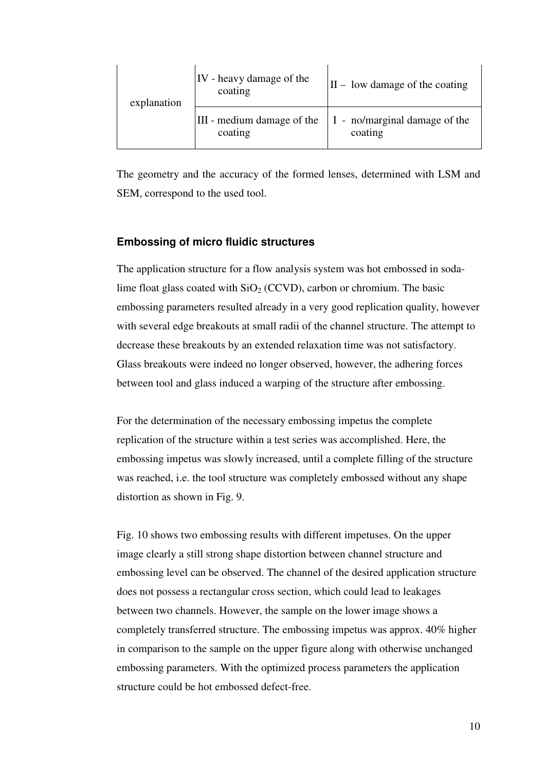| explanation | IV - heavy damage of the<br>coating   | $ II - low$ damage of the coating        |  |
|-------------|---------------------------------------|------------------------------------------|--|
|             | III - medium damage of the<br>coating | I - no/marginal damage of the<br>coating |  |

The geometry and the accuracy of the formed lenses, determined with LSM and SEM, correspond to the used tool.

#### **Embossing of micro fluidic structures**

The application structure for a flow analysis system was hot embossed in sodalime float glass coated with  $SiO<sub>2</sub>$  (CCVD), carbon or chromium. The basic embossing parameters resulted already in a very good replication quality, however with several edge breakouts at small radii of the channel structure. The attempt to decrease these breakouts by an extended relaxation time was not satisfactory. Glass breakouts were indeed no longer observed, however, the adhering forces between tool and glass induced a warping of the structure after embossing.

For the determination of the necessary embossing impetus the complete replication of the structure within a test series was accomplished. Here, the embossing impetus was slowly increased, until a complete filling of the structure was reached, i.e. the tool structure was completely embossed without any shape distortion as shown in Fig. 9.

Fig. 10 shows two embossing results with different impetuses. On the upper image clearly a still strong shape distortion between channel structure and embossing level can be observed. The channel of the desired application structure does not possess a rectangular cross section, which could lead to leakages between two channels. However, the sample on the lower image shows a completely transferred structure. The embossing impetus was approx. 40% higher in comparison to the sample on the upper figure along with otherwise unchanged embossing parameters. With the optimized process parameters the application structure could be hot embossed defect-free.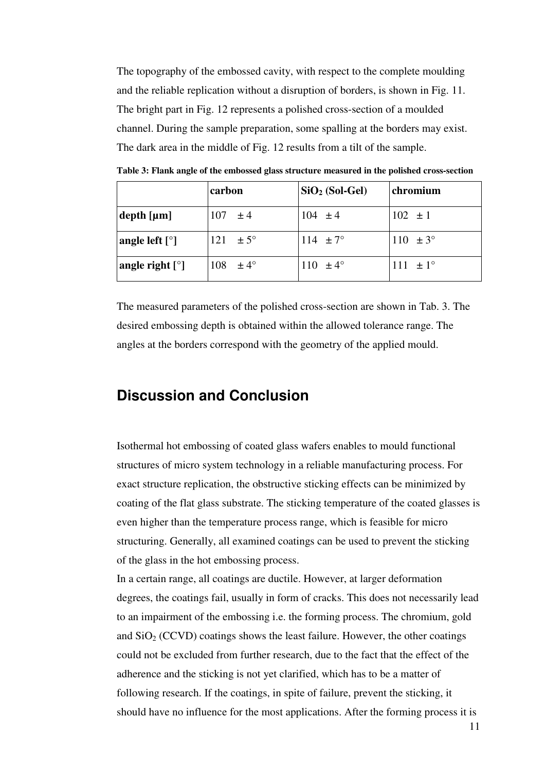The topography of the embossed cavity, with respect to the complete moulding and the reliable replication without a disruption of borders, is shown in Fig. 11. The bright part in Fig. 12 represents a polished cross-section of a moulded channel. During the sample preparation, some spalling at the borders may exist. The dark area in the middle of Fig. 12 results from a tilt of the sample.

|                                  | carbon              | $SiO2 (Sol-Gel)$    | chromium            |
|----------------------------------|---------------------|---------------------|---------------------|
| $depth$ [ $µm$ ]                 | $107 \pm 4$         | $104 \pm 4$         | $102 \pm 1$         |
| angle left $\lceil \circ \rceil$ | 121 $\pm 5^{\circ}$ | 114 $\pm 7^{\circ}$ | 110 $\pm 3^{\circ}$ |
| angle right $[°]$                | $108 \pm 4^{\circ}$ | 110 $\pm 4^{\circ}$ | $111 \pm 1^{\circ}$ |

**Table 3: Flank angle of the embossed glass structure measured in the polished cross-section** 

The measured parameters of the polished cross-section are shown in Tab. 3. The desired embossing depth is obtained within the allowed tolerance range. The angles at the borders correspond with the geometry of the applied mould.

## **Discussion and Conclusion**

Isothermal hot embossing of coated glass wafers enables to mould functional structures of micro system technology in a reliable manufacturing process. For exact structure replication, the obstructive sticking effects can be minimized by coating of the flat glass substrate. The sticking temperature of the coated glasses is even higher than the temperature process range, which is feasible for micro structuring. Generally, all examined coatings can be used to prevent the sticking of the glass in the hot embossing process.

In a certain range, all coatings are ductile. However, at larger deformation degrees, the coatings fail, usually in form of cracks. This does not necessarily lead to an impairment of the embossing i.e. the forming process. The chromium, gold and  $SiO<sub>2</sub> (CCVD)$  coatings shows the least failure. However, the other coatings could not be excluded from further research, due to the fact that the effect of the adherence and the sticking is not yet clarified, which has to be a matter of following research. If the coatings, in spite of failure, prevent the sticking, it should have no influence for the most applications. After the forming process it is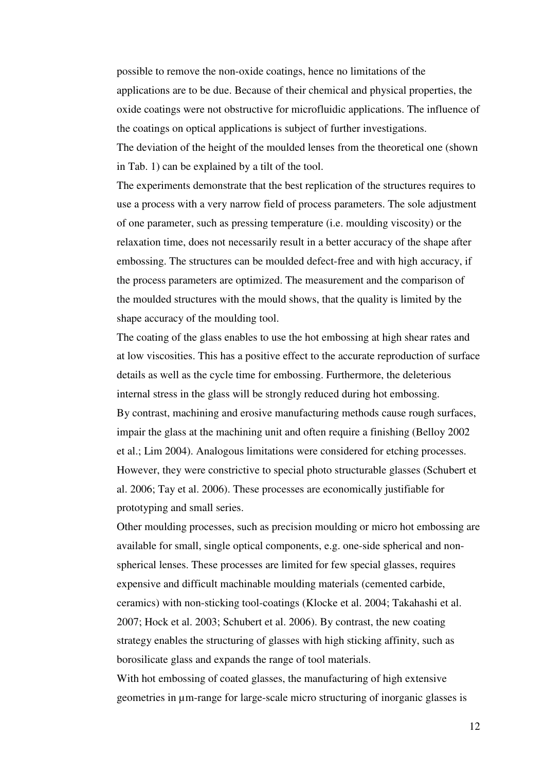possible to remove the non-oxide coatings, hence no limitations of the applications are to be due. Because of their chemical and physical properties, the oxide coatings were not obstructive for microfluidic applications. The influence of the coatings on optical applications is subject of further investigations. The deviation of the height of the moulded lenses from the theoretical one (shown

in Tab. 1) can be explained by a tilt of the tool.

The experiments demonstrate that the best replication of the structures requires to use a process with a very narrow field of process parameters. The sole adjustment of one parameter, such as pressing temperature (i.e. moulding viscosity) or the relaxation time, does not necessarily result in a better accuracy of the shape after embossing. The structures can be moulded defect-free and with high accuracy, if the process parameters are optimized. The measurement and the comparison of the moulded structures with the mould shows, that the quality is limited by the shape accuracy of the moulding tool.

The coating of the glass enables to use the hot embossing at high shear rates and at low viscosities. This has a positive effect to the accurate reproduction of surface details as well as the cycle time for embossing. Furthermore, the deleterious internal stress in the glass will be strongly reduced during hot embossing. By contrast, machining and erosive manufacturing methods cause rough surfaces, impair the glass at the machining unit and often require a finishing (Belloy 2002 et al.; Lim 2004). Analogous limitations were considered for etching processes. However, they were constrictive to special photo structurable glasses (Schubert et al. 2006; Tay et al. 2006). These processes are economically justifiable for prototyping and small series.

Other moulding processes, such as precision moulding or micro hot embossing are available for small, single optical components, e.g. one-side spherical and nonspherical lenses. These processes are limited for few special glasses, requires expensive and difficult machinable moulding materials (cemented carbide, ceramics) with non-sticking tool-coatings (Klocke et al. 2004; Takahashi et al. 2007; Hock et al. 2003; Schubert et al. 2006). By contrast, the new coating strategy enables the structuring of glasses with high sticking affinity, such as borosilicate glass and expands the range of tool materials.

With hot embossing of coated glasses, the manufacturing of high extensive geometries in µm-range for large-scale micro structuring of inorganic glasses is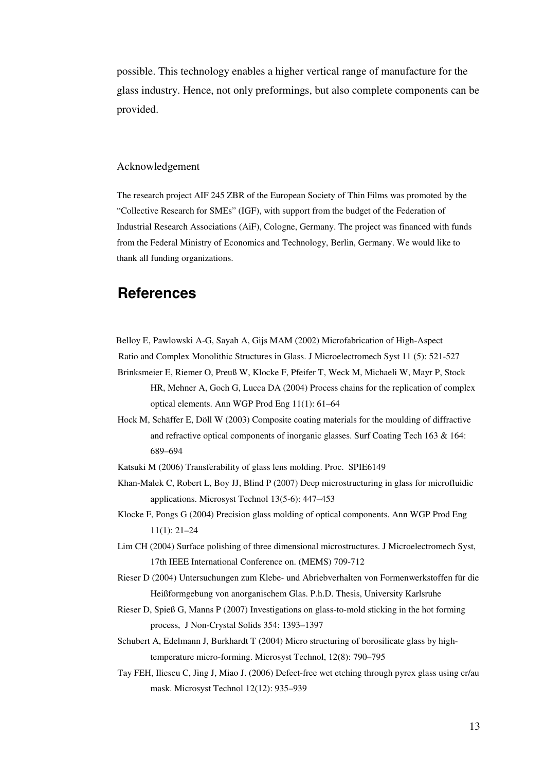possible. This technology enables a higher vertical range of manufacture for the glass industry. Hence, not only preformings, but also complete components can be provided.

#### Acknowledgement

The research project AIF 245 ZBR of the European Society of Thin Films was promoted by the "Collective Research for SMEs" (IGF), with support from the budget of the Federation of Industrial Research Associations (AiF), Cologne, Germany. The project was financed with funds from the Federal Ministry of Economics and Technology, Berlin, Germany. We would like to thank all funding organizations.

### **References**

Belloy E, Pawlowski A-G, Sayah A, Gijs MAM (2002) Microfabrication of High-Aspect Ratio and Complex Monolithic Structures in Glass. J Microelectromech Syst 11 (5): 521-527 Brinksmeier E, Riemer O, Preuß W, Klocke F, Pfeifer T, Weck M, Michaeli W, Mayr P, Stock HR, Mehner A, Goch G, Lucca DA (2004) Process chains for the replication of complex optical elements. Ann WGP Prod Eng 11(1): 61–64

Hock M, Schäffer E, Döll W (2003) Composite coating materials for the moulding of diffractive and refractive optical components of inorganic glasses. Surf Coating Tech 163 & 164: 689–694

Katsuki M (2006) Transferability of glass lens molding. Proc. SPIE6149

Khan-Malek C, Robert L, Boy JJ, Blind P (2007) Deep microstructuring in glass for microfluidic applications. Microsyst Technol 13(5-6): 447–453

Klocke F, Pongs G (2004) Precision glass molding of optical components. Ann WGP Prod Eng 11(1): 21–24

- Lim CH (2004) Surface polishing of three dimensional microstructures. J Microelectromech Syst, 17th IEEE International Conference on. (MEMS) 709-712
- Rieser D (2004) Untersuchungen zum Klebe- und Abriebverhalten von Formenwerkstoffen für die Heißformgebung von anorganischem Glas. P.h.D. Thesis, University Karlsruhe
- Rieser D, Spieß G, Manns P (2007) Investigations on glass-to-mold sticking in the hot forming process, J Non-Crystal Solids 354: 1393–1397
- Schubert A, Edelmann J, Burkhardt T (2004) Micro structuring of borosilicate glass by hightemperature micro-forming. Microsyst Technol, 12(8): 790–795
- Tay FEH, Iliescu C, Jing J, Miao J. (2006) Defect-free wet etching through pyrex glass using cr/au mask. Microsyst Technol 12(12): 935–939